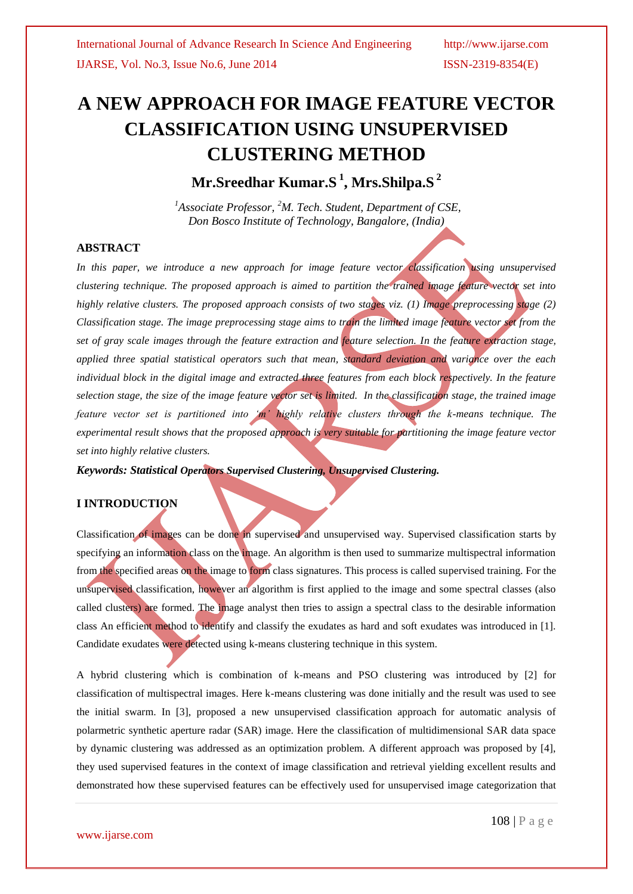# **A NEW APPROACH FOR IMAGE FEATURE VECTOR CLASSIFICATION USING UNSUPERVISED CLUSTERING METHOD**

**Mr.Sreedhar Kumar.S <sup>1</sup> , Mrs.Shilpa.S <sup>2</sup>**

*<sup>1</sup>Associate Professor, <sup>2</sup>M. Tech. Student, Department of CSE, Don Bosco Institute of Technology, Bangalore, (India)*

# **ABSTRACT**

In this paper, we introduce a new approach for image feature vector classification using unsupervised *clustering technique. The proposed approach is aimed to partition the trained image feature vector set into highly relative clusters. The proposed approach consists of two stages viz. (1) Image preprocessing stage (2) Classification stage. The image preprocessing stage aims to train the limited image feature vector set from the set of gray scale images through the feature extraction and feature selection. In the feature extraction stage, applied three spatial statistical operators such that mean, standard deviation and variance over the each individual block in the digital image and extracted three features from each block respectively. In the feature selection stage, the size of the image feature vector set is limited. In the classification stage, the trained image feature vector set is partitioned into 'm' highly relative clusters through the k-means technique. The experimental result shows that the proposed approach is very suitable for partitioning the image feature vector set into highly relative clusters.*

*Keywords: Statistical Operators Supervised Clustering, Unsupervised Clustering.*

# **I INTRODUCTION**

Classification of images can be done in supervised and unsupervised way. Supervised classification starts by specifying an information class on the image. An algorithm is then used to summarize multispectral information from the specified areas on the image to form class signatures. This process is called supervised training. For the unsupervised classification, however an algorithm is first applied to the image and some spectral classes (also called clusters) are formed. The image analyst then tries to assign a spectral class to the desirable information class An efficient method to identify and classify the exudates as hard and soft exudates was introduced in [1]. Candidate exudates were detected using k-means clustering technique in this system.

A hybrid clustering which is combination of k-means and PSO clustering was introduced by [2] for classification of multispectral images. Here k-means clustering was done initially and the result was used to see the initial swarm. In [3], proposed a new unsupervised classification approach for automatic analysis of polarmetric synthetic aperture radar (SAR) image. Here the classification of multidimensional SAR data space by dynamic clustering was addressed as an optimization problem. A different approach was proposed by [4], they used supervised features in the context of image classification and retrieval yielding excellent results and demonstrated how these supervised features can be effectively used for unsupervised image categorization that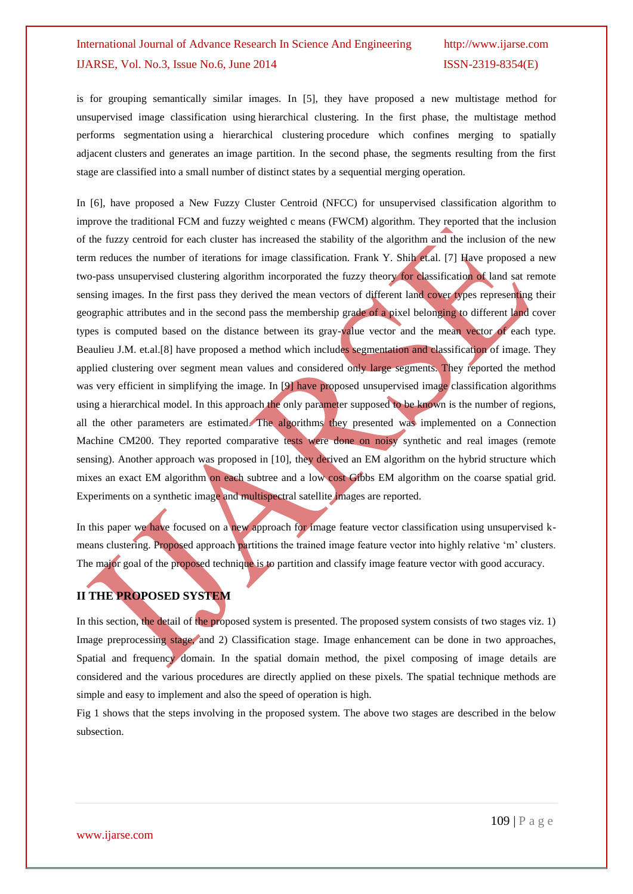is for grouping semantically similar images. In [5], they have proposed a new multistage method for unsupervised image classification using hierarchical clustering. In the first phase, the multistage method performs segmentation using a hierarchical clustering procedure which confines merging to spatially adjacent clusters and generates an image partition. In the second phase, the segments resulting from the first stage are classified into a small number of distinct states by a sequential merging operation.

In [6], have proposed a New Fuzzy Cluster Centroid (NFCC) for unsupervised classification algorithm to improve the traditional FCM and fuzzy weighted c means (FWCM) algorithm. They reported that the inclusion of the fuzzy centroid for each cluster has increased the stability of the algorithm and the inclusion of the new term reduces the number of iterations for image classification. Frank Y. Shih et.al. [7] Have proposed a new two-pass unsupervised clustering algorithm incorporated the fuzzy theory for classification of land sat remote sensing images. In the first pass they derived the mean vectors of different land cover types representing their geographic attributes and in the second pass the membership grade of a pixel belonging to different land cover types is computed based on the distance between its gray-value vector and the mean vector of each type. [Beaulieu J.M.](http://ieeexplore.ieee.org/search/searchresult.jsp?searchWithin=p_Authors:.QT.Beaulieu,%20J.-M..QT.&searchWithin=p_Author_Ids:37267818500&newsearch=true) et.al.[8] have proposed a method which includes segmentation and classification of image. They applied clustering over segment mean values and considered only large segments. They reported the method was very efficient in simplifying the image. In [9] have proposed unsupervised image classification algorithms using a hierarchical model. In this approach the only parameter supposed to be known is the number of regions, all the other parameters are estimated. The algorithms they presented was implemented on a Connection Machine CM200. They reported comparative tests were done on noisy synthetic and real images (remote sensing). Another approach was proposed in [10], they derived an EM algorithm on the hybrid structure which mixes an exact EM algorithm on each subtree and a low cost Gibbs EM algorithm on the coarse spatial grid. Experiments on a synthetic image and multispectral satellite images are reported.

In this paper we have focused on a new approach for image feature vector classification using unsupervised kmeans clustering. Proposed approach partitions the trained image feature vector into highly relative "m" clusters. The major goal of the proposed technique is to partition and classify image feature vector with good accuracy.

# **II THE PROPOSED SYSTEM**

In this section, the detail of the proposed system is presented. The proposed system consists of two stages viz. 1) Image preprocessing stage, and 2) Classification stage. Image enhancement can be done in two approaches, Spatial and frequency domain. In the spatial domain method, the pixel composing of image details are considered and the various procedures are directly applied on these pixels. The spatial technique methods are simple and easy to implement and also the speed of operation is high.

Fig 1 shows that the steps involving in the proposed system. The above two stages are described in the below subsection.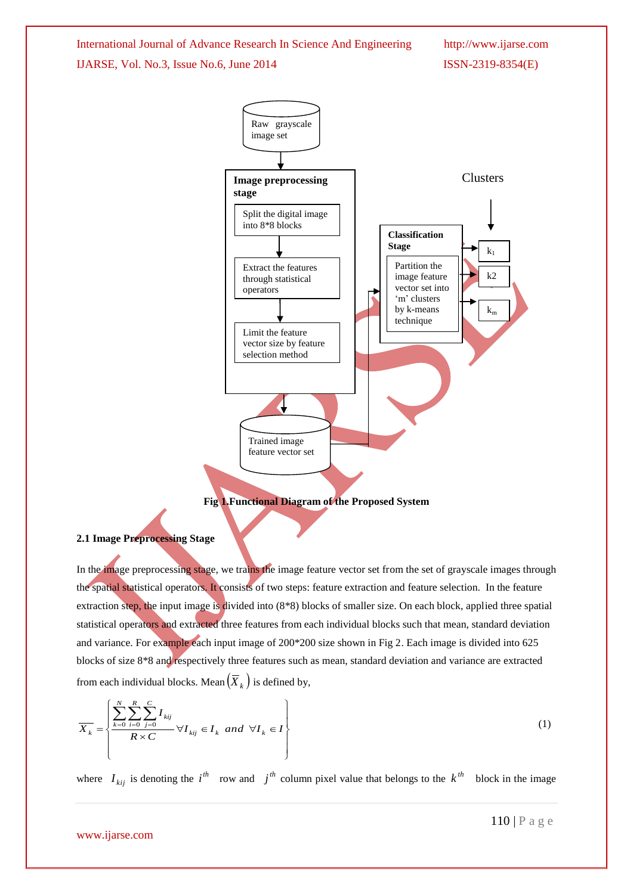

#### **2.1 Image Preprocessing Stage**

In the image preprocessing stage, we trains the image feature vector set from the set of grayscale images through the spatial statistical operators. It consists of two steps: feature extraction and feature selection. In the feature extraction step, the input image is divided into (8\*8) blocks of smaller size. On each block, applied three spatial statistical operators and extracted three features from each individual blocks such that mean, standard deviation and variance. For example each input image of 200\*200 size shown in Fig 2. Each image is divided into 625 blocks of size 8\*8 and respectively three features such as mean, standard deviation and variance are extracted from each individual blocks. Mean  $(\overline{X}_k)$  is defined by,

$$
\overline{X_k} = \left\{ \frac{\sum_{k=0}^{N} \sum_{i=0}^{R} \sum_{j=0}^{C} I_{kij}}{R \times C} \forall I_{kij} \in I_k \ and \ \forall I_k \in I \right\}
$$
\n
$$
(1)
$$

where  $I_{kij}$  is denoting the  $i^{th}$  row and  $j^{th}$  column pixel value that belongs to the  $k^{th}$  block in the image

www.ijarse.com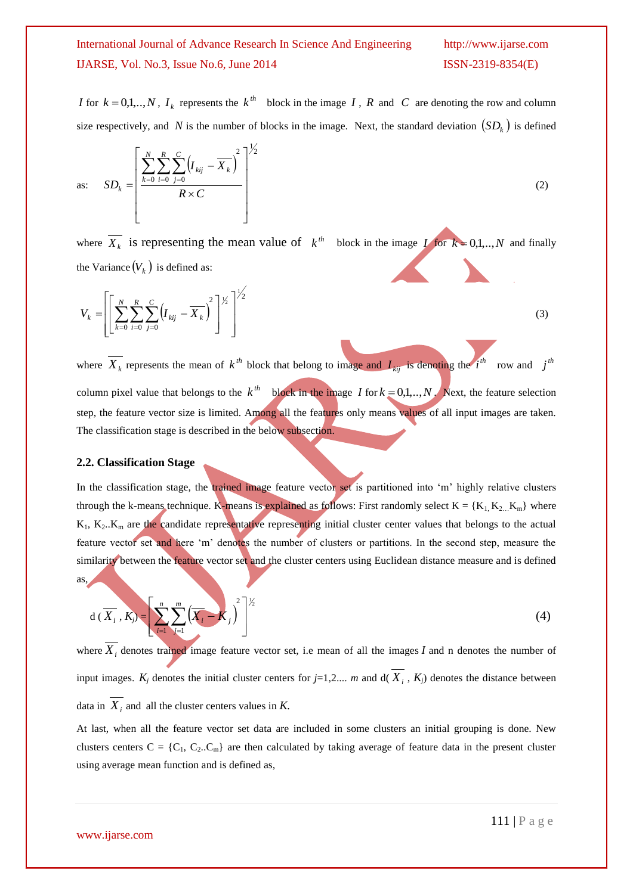for  $k = 0,1, ..., N$ ,  $I_k$  represents the  $k^{th}$  block in the image I, R and C are denoting the row and column size respectively, and N is the number of blocks in the image. Next, the standard deviation  $(SD_k)$  is defined

as: 
$$
SD_{k} = \left[ \frac{\sum_{k=0}^{N} \sum_{i=0}^{R} \sum_{j=0}^{C} (I_{kij} - \overline{X}_{k})^{2}}{R \times C} \right]^{1/2}
$$
(2)

where  $\overline{X_k}$  is representing the mean value of  $k^{th}$  block in the image  $\overline{I}$  for  $k = 0,1,..,N$  and finally the Variance  $(V_k)$  is defined as:

$$
V_k = \left[ \left[ \sum_{k=0}^{N} \sum_{i=0}^{R} \sum_{j=0}^{C} \left( I_{kij} - \overline{X}_k \right)^2 \right]^{1/2} \right]^{1/2}
$$
(3)

where  $X_k$  represents the mean of  $k^{th}$  block that belong to image and  $I_{kij}$  is denoting the *i*<sup>th</sup> row and *j*<sup>th</sup> column pixel value that belongs to the  $k^{th}$  block in the image I for  $k = 0,1,..,N$ . Next, the feature selection step, the feature vector size is limited. Among all the features only means values of all input images are taken. The classification stage is described in the below subsection.

### **2.2. Classification Stage**

*I* for  $k = 0,1,...,N$ <br>size respectively,<br>as:  $SD_k = \begin{bmatrix} \sum_{k=1}^{N} \\ \sum_{k=1}^{N} \\ \sum_{k=0}^{N} \\ \sum_{i=0}^{N} \\ \sum_{j=0}^{N} \\ \sum_{j=0}^{N} \\ \sum_{j=0}^{N} \\ \sum_{j=0}^{N} \\ \sum_{k=0}^{N} \\ \sum_{i=0}^{N} \\ \sum_{j=0}^{N} \\ \sum_{j=0}^{N} \\ \sum_{k=0}^{N} \\ \sum_{k=0}^{N} \\ \sum_{k=0}^{N} \\ \sum_{$ In the classification stage, the trained image feature vector set is partitioned into 'm' highly relative clusters through the k-means technique. K-means is explained as follows: First randomly select  $K = \{K_1, K_2, K_m\}$  where  $K_1$ ,  $K_2$ .. $K_m$  are the candidate representative representing initial cluster center values that belongs to the actual feature vector set and here "m" denotes the number of clusters or partitions. In the second step, measure the similarity between the feature vector set and the cluster centers using Euclidean distance measure and is defined as,

$$
d\left(\overline{X}_{i}, K_{j}\right) = \left[\sum_{i=1}^{n} \sum_{j=1}^{m} \left(\overline{X}_{i} - K_{j}\right)^{2}\right]^{1/2}
$$
\n(4)

where  $X_i$  denotes trained image feature vector set, i.e mean of all the images  $I$  and n denotes the number of input images.  $K_j$  denotes the initial cluster centers for  $j=1,2,...,m$  and  $d(X_i, K_j)$  denotes the distance between data in  $X_i$  and all the cluster centers values in K.

At last, when all the feature vector set data are included in some clusters an initial grouping is done. New clusters centers  $C = \{C_1, C_2..C_m\}$  are then calculated by taking average of feature data in the present cluster using average mean function and is defined as,

### www.ijarse.com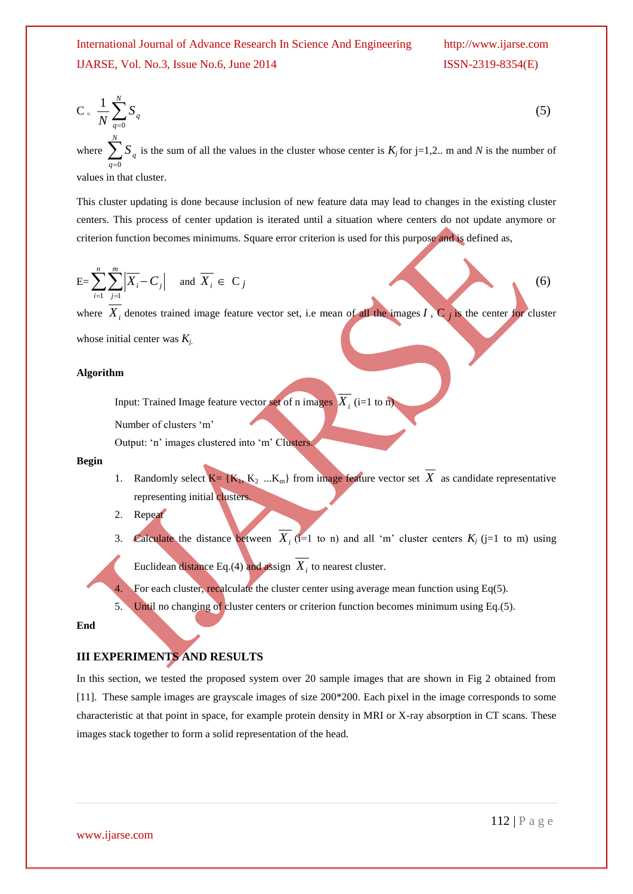$$
C = \frac{1}{N} \sum_{q=0}^{N} S_q
$$
\n
$$
\sum_{q=0}^{N} S_q
$$
\n(5)

where  $\sum_{q=0}^{n} S_q$  is the sum of all the values in the cluster whose center is  $K_j$  for j=1,2.. m and *N* is the number of *q*  $\boldsymbol{0}$ values in that cluster.

This cluster updating is done because inclusion of new feature data may lead to changes in the existing cluster centers. This process of center updation is iterated until a situation where centers do not update anymore or criterion function becomes minimums. Square error criterion is used for this purpose and is defined as,

$$
E = \sum_{i=1}^{n} \sum_{j=1}^{m} \left| \overline{X_i} - C_j \right| \quad \text{and} \quad \overline{X_i} \in C_j
$$
 (6)

where  $X_i$  denotes trained image feature vector set, i.e mean of all the images  $I$ ,  $C_j$  is the center for cluster whose initial center was *Kj.*

**Algorithm**

# Input: Trained Image feature vector set of n images  $X_i$  (i=1 to n)

Number of clusters "m"

Output: 'n' images clustered into 'm' Clusters.

#### **Begin**

- 1. Randomly select  $K = \{K_1, K_2, \ldots, K_m\}$  from image feature vector set X as candidate representative representing initial clusters.
- 2. Repeat
- 3. Calculate the distance between  $X_i$  (i=1 to n) and all 'm' cluster centers  $K_j$  (j=1 to m) using

Euclidean distance Eq.(4) and assign  $X_i$  to nearest cluster.

For each cluster, recalculate the cluster center using average mean function using Eq(5).

5. Until no changing of cluster centers or criterion function becomes minimum using Eq.(5).

#### **End**

# **III EXPERIMENTS AND RESULTS**

In this section, we tested the proposed system over 20 sample images that are shown in Fig 2 obtained from [11]. These sample images are grayscale images of size 200\*200. Each pixel in the image corresponds to some characteristic at that point in space, for example protein density in MRI or X-ray absorption in CT scans. These images stack together to form a solid representation of the head.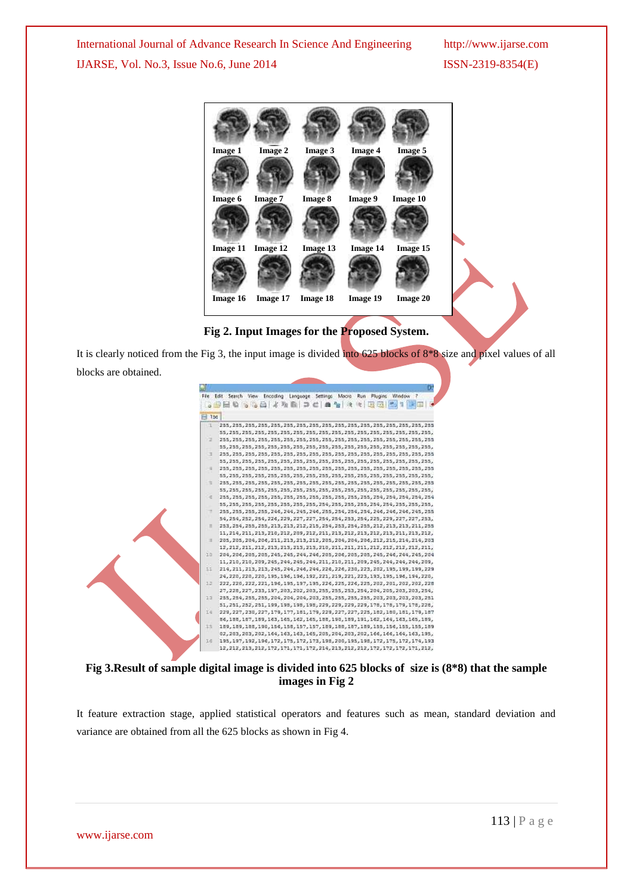

**Fig 2. Input Images for the Proposed System.**

It is clearly noticed from the Fig 3, the input image is divided into 625 blocks of 8\*8 size and pixel values of all blocks are obtained.



**Fig 3.Result of sample digital image is divided into 625 blocks of size is (8\*8) that the sample images in Fig 2**

It feature extraction stage, applied statistical operators and features such as mean, standard deviation and variance are obtained from all the 625 blocks as shown in Fig 4.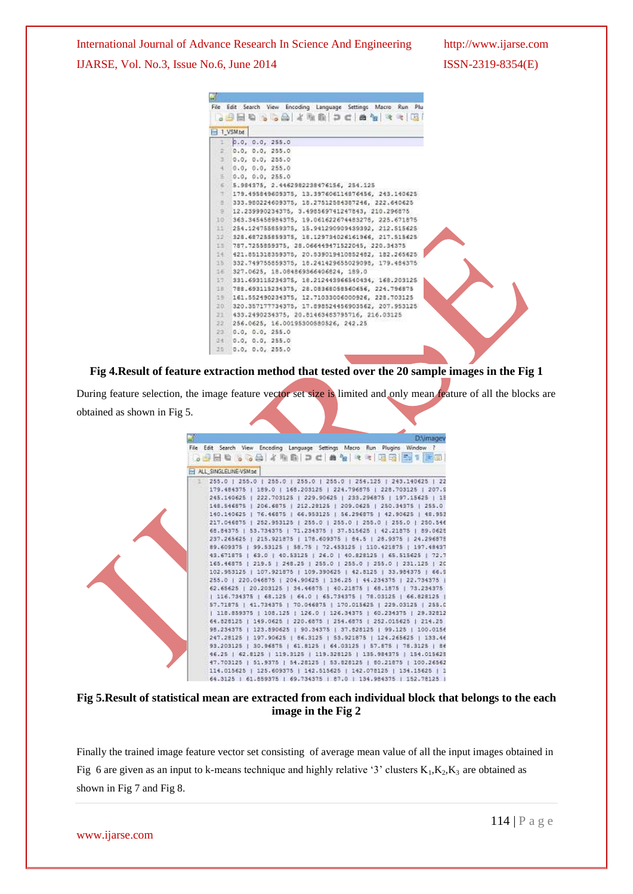

**Fig 4.Result of feature extraction method that tested over the 20 sample images in the Fig 1**

During feature selection, the image feature vector set size is limited and only mean feature of all the blocks are obtained as shown in Fig 5.



**Fig 5.Result of statistical mean are extracted from each individual block that belongs to the each image in the Fig 2**

Finally the trained image feature vector set consisting of average mean value of all the input images obtained in Fig 6 are given as an input to k-means technique and highly relative '3' clusters  $K_1, K_2, K_3$  are obtained as shown in Fig 7 and Fig 8.

www.ijarse.com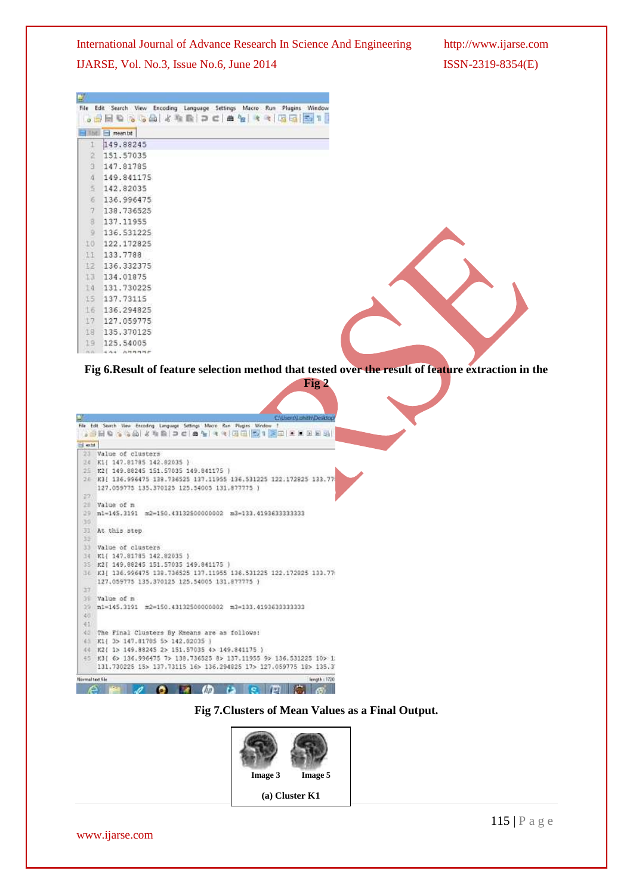International Journal of Advance Research In Science And Engineering http://www.ijarse.com

IJARSE, Vol. No.3, Issue No.6, June 2014 ISSN-2319-8354(E)

| 대<br>File     | Edit Search View<br>Encoding Language Settings Macro Run Plugins Window<br><br>◆ 堀田 国 11 |
|---------------|------------------------------------------------------------------------------------------|
| Tbit.         | $m$ ean.bt                                                                               |
| $\mathbbm{1}$ | 149.88245                                                                                |
| z             | 151.57035                                                                                |
| ä             | 147.81785                                                                                |
| 4             | 149.841175                                                                               |
| 5             | 142.82035                                                                                |
| ö             | 136.996475                                                                               |
| 7             | 138.736525                                                                               |
| 8             | 137.11955                                                                                |
| ö             | 136.531225                                                                               |
| IO            | 122.172825                                                                               |
| 11            | 133,7788                                                                                 |
| 12            | 136, 332375                                                                              |
| 13            | 134.01875                                                                                |
| 14            | 131.730225                                                                               |
| 15            | 137.73115                                                                                |
| 16            | 136.294825                                                                               |
| 17            | 127.059775                                                                               |
| 18            | 135, 370125                                                                              |
| 19            | 125.54005                                                                                |
| PL PL         | 4.44 899997                                                                              |

**Fig 6.Result of feature selection method that tested over the result of feature extraction in the Fig 2**

|                 | C/Users/Lohith/Desktop                                                      |
|-----------------|-----------------------------------------------------------------------------|
|                 | File Edit Search View Excoding Language Settings Macro Run Plugins Window 1 |
|                 | - 19 日 4 1 4 1 4 1 2 1 2 1 4 1 4 1 4 1 3 1 1 1 1 2 2 3 4 5 6 7 8 9          |
| <b>Hete</b>     |                                                                             |
|                 | 23 Value of clusters                                                        |
|                 | 24 K1( 147.81785 142.82035 )                                                |
|                 | 25 K2( 149.88245 151.57035 149.841175                                       |
|                 | 26 K3( 136,996475 138,736525 137,11955 136,531225 122.172825 133.77         |
|                 | 127.059775 135.370125 125.54005 131.877775 }                                |
| 27              |                                                                             |
| 28              | Value of m                                                                  |
| 29              | n1-145.3191 m2-150.43132500000002<br>m3-133.4193633333333                   |
| 35              |                                                                             |
| 31              | At this step                                                                |
| 35              |                                                                             |
| 33              | Value of clusters                                                           |
|                 | 34 K11 147,81785 142,82035                                                  |
|                 | 35 K2( 149.88245 151.57035 149.841175 )                                     |
|                 | U6 K3( 136.996475 138.736525 137.11955 136.531225 122.172825 133.7)         |
|                 | 127.059775 135.370125 125.54005 131.877775 }                                |
| 47              |                                                                             |
| 39              | Value of n                                                                  |
|                 | 39 ml=145.3191 m2=150.43132500000002 m3=133.4193633333333                   |
| 40              |                                                                             |
| 41              |                                                                             |
| $-40$           | The Final Clusters By Kneans are as follows:                                |
| 百生              | K1( 3> 147.81785 5> 142.82035 )                                             |
| 44              | K2{ 1> 149.88245 2> 151.57035 4> 149.841175 )                               |
|                 | 45 K3( 6> 136.996475 7> 138.736525 8> 137.11955 9> 136.531225 10> 1;        |
|                 | 131.730225 15> 137.73115 16> 136.294825 17> 127.059775 18> 135.3            |
| Normal text Sie | length (1720)                                                               |

**Fig 7.Clusters of Mean Values as a Final Output.**



www.ijarse.com

115 | P a g e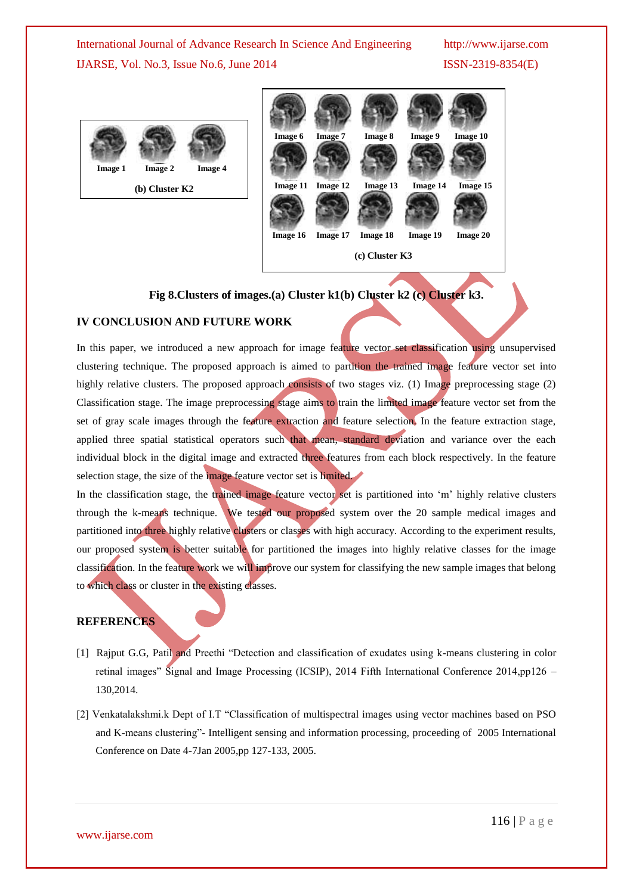



# **Fig 8.Clusters of images.(a) Cluster k1(b) Cluster k2 (c) Cluster k3.**

### **IV CONCLUSION AND FUTURE WORK**

In this paper, we introduced a new approach for image feature vector set classification using unsupervised clustering technique. The proposed approach is aimed to partition the trained image feature vector set into highly relative clusters. The proposed approach consists of two stages viz. (1) Image preprocessing stage (2) Classification stage. The image preprocessing stage aims to train the limited image feature vector set from the set of gray scale images through the feature extraction and feature selection. In the feature extraction stage, applied three spatial statistical operators such that mean, standard deviation and variance over the each individual block in the digital image and extracted three features from each block respectively. In the feature selection stage, the size of the image feature vector set is limited.

In the classification stage, the trained image feature vector set is partitioned into 'm' highly relative clusters through the k-means technique. We tested our proposed system over the 20 sample medical images and partitioned into three highly relative clusters or classes with high accuracy. According to the experiment results, our proposed system is better suitable for partitioned the images into highly relative classes for the image classification. In the feature work we will improve our system for classifying the new sample images that belong to which class or cluster in the existing classes.

# **REFERENCES**

- [1] Rajput G.G, Patil and Preethi "Detection and classification of exudates using k-means clustering in color retinal images" Signal and Image Processing (ICSIP), 2014 Fifth International Conference 2014,pp126 – 130,2014.
- [2] Venkatalakshmi.k Dept of I.T "Classification of multispectral images using vector machines based on PSO and K-means clustering"- Intelligent sensing and information processing, proceeding of 2005 International Conference on Date 4-7Jan 2005,pp 127-133, 2005.